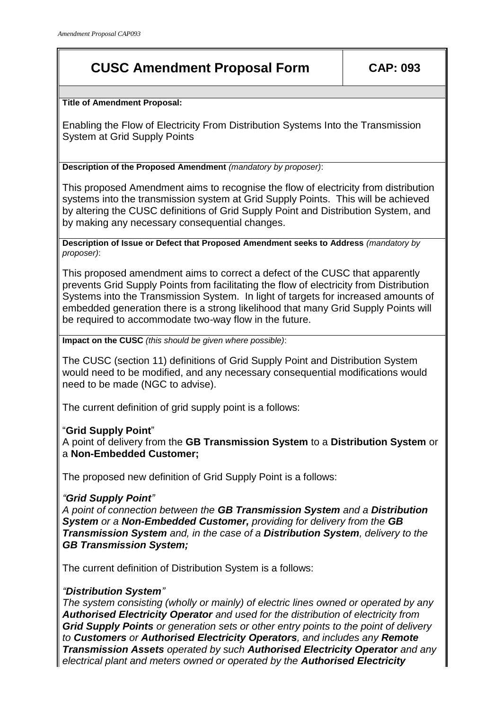# **CUSC Amendment Proposal Form CAP: 093**

**Title of Amendment Proposal:**

Enabling the Flow of Electricity From Distribution Systems Into the Transmission System at Grid Supply Points

**Description of the Proposed Amendment** *(mandatory by proposer)*:

This proposed Amendment aims to recognise the flow of electricity from distribution systems into the transmission system at Grid Supply Points. This will be achieved by altering the CUSC definitions of Grid Supply Point and Distribution System, and by making any necessary consequential changes.

**Description of Issue or Defect that Proposed Amendment seeks to Address** *(mandatory by proposer)*:

This proposed amendment aims to correct a defect of the CUSC that apparently prevents Grid Supply Points from facilitating the flow of electricity from Distribution Systems into the Transmission System. In light of targets for increased amounts of embedded generation there is a strong likelihood that many Grid Supply Points will be required to accommodate two-way flow in the future.

**Impact on the CUSC** *(this should be given where possible)*:

The CUSC (section 11) definitions of Grid Supply Point and Distribution System would need to be modified, and any necessary consequential modifications would need to be made (NGC to advise).

The current definition of grid supply point is a follows:

## "**Grid Supply Point**"

A point of delivery from the **GB Transmission System** to a **Distribution System** or a **Non-Embedded Customer;**

The proposed new definition of Grid Supply Point is a follows:

## *"Grid Supply Point"*

*A point of connection between the GB Transmission System and a Distribution System or a Non-Embedded Customer, providing for delivery from the GB Transmission System and, in the case of a Distribution System, delivery to the GB Transmission System;*

The current definition of Distribution System is a follows:

## *"Distribution System"*

*The system consisting (wholly or mainly) of electric lines owned or operated by any Authorised Electricity Operator and used for the distribution of electricity from Grid Supply Points or generation sets or other entry points to the point of delivery to Customers or Authorised Electricity Operators, and includes any Remote Transmission Assets operated by such Authorised Electricity Operator and any electrical plant and meters owned or operated by the Authorised Electricity*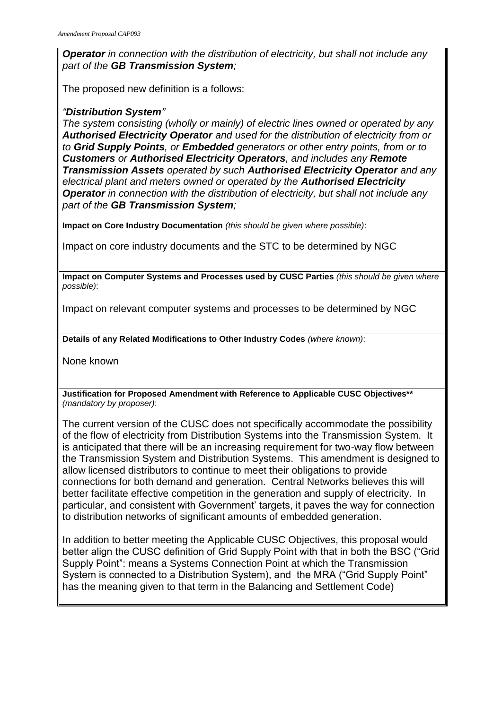*Operator in connection with the distribution of electricity, but shall not include any part of the GB Transmission System;*

The proposed new definition is a follows:

### *"Distribution System"*

*The system consisting (wholly or mainly) of electric lines owned or operated by any Authorised Electricity Operator and used for the distribution of electricity from or to Grid Supply Points, or Embedded generators or other entry points, from or to Customers or Authorised Electricity Operators, and includes any Remote Transmission Assets operated by such Authorised Electricity Operator and any electrical plant and meters owned or operated by the Authorised Electricity Operator in connection with the distribution of electricity, but shall not include any part of the GB Transmission System;*

**Impact on Core Industry Documentation** *(this should be given where possible)*:

Impact on core industry documents and the STC to be determined by NGC

**Impact on Computer Systems and Processes used by CUSC Parties** *(this should be given where possible)*:

Impact on relevant computer systems and processes to be determined by NGC

**Details of any Related Modifications to Other Industry Codes** *(where known)*:

None known

**Justification for Proposed Amendment with Reference to Applicable CUSC Objectives\*\***  *(mandatory by proposer)*:

The current version of the CUSC does not specifically accommodate the possibility of the flow of electricity from Distribution Systems into the Transmission System. It is anticipated that there will be an increasing requirement for two-way flow between the Transmission System and Distribution Systems. This amendment is designed to allow licensed distributors to continue to meet their obligations to provide connections for both demand and generation. Central Networks believes this will better facilitate effective competition in the generation and supply of electricity. In particular, and consistent with Government' targets, it paves the way for connection to distribution networks of significant amounts of embedded generation.

In addition to better meeting the Applicable CUSC Objectives, this proposal would better align the CUSC definition of Grid Supply Point with that in both the BSC ("Grid Supply Point": means a Systems Connection Point at which the Transmission System is connected to a Distribution System), and the MRA ("Grid Supply Point" has the meaning given to that term in the Balancing and Settlement Code)